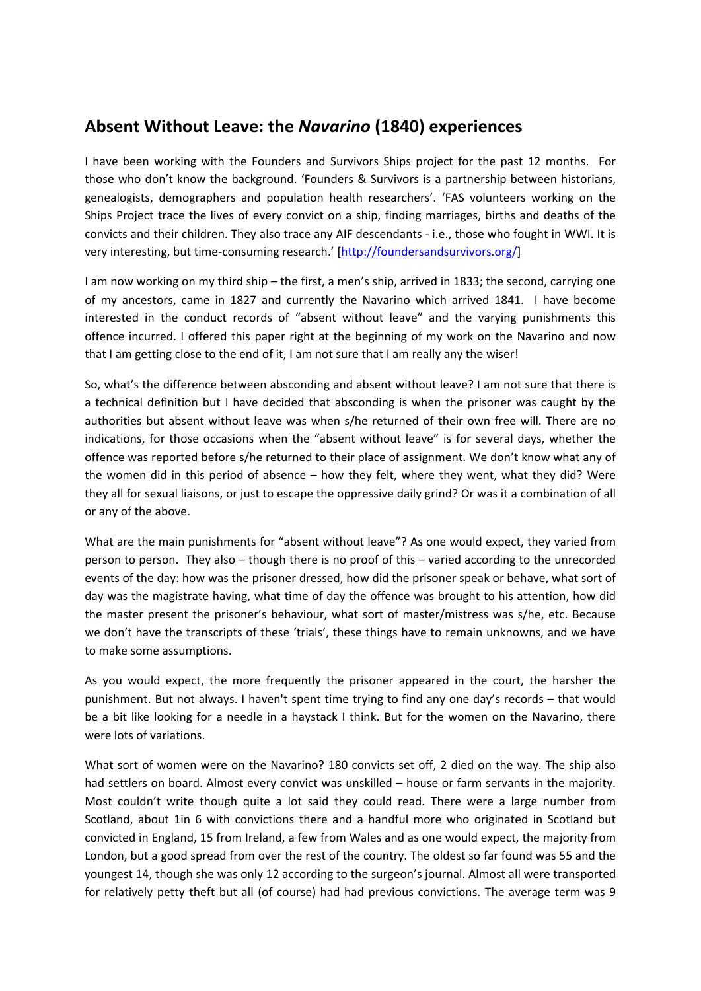## **Absent Without Leave: the** *Navarino* **(1840) experiences**

I have been working with the Founders and Survivors Ships project for the past 12 months. For those who don't know the background. 'Founders & Survivors is a partnership between historians, genealogists, demographers and population health researchers'. 'FAS volunteers working on the Ships Project trace the lives of every convict on a ship, finding marriages, births and deaths of the convicts and their children. They also trace any AIF descendants ‐ i.e., those who fought in WWI. It is very interesting, but time‐consuming research.' [http://foundersandsurvivors.org/]

I am now working on my third ship – the first, a men's ship, arrived in 1833; the second, carrying one of my ancestors, came in 1827 and currently the Navarino which arrived 1841. I have become interested in the conduct records of "absent without leave" and the varying punishments this offence incurred. I offered this paper right at the beginning of my work on the Navarino and now that I am getting close to the end of it, I am not sure that I am really any the wiser!

So, what's the difference between absconding and absent without leave? I am not sure that there is a technical definition but I have decided that absconding is when the prisoner was caught by the authorities but absent without leave was when s/he returned of their own free will. There are no indications, for those occasions when the "absent without leave" is for several days, whether the offence was reported before s/he returned to their place of assignment. We don't know what any of the women did in this period of absence – how they felt, where they went, what they did? Were they all for sexual liaisons, or just to escape the oppressive daily grind? Or was it a combination of all or any of the above.

What are the main punishments for "absent without leave"? As one would expect, they varied from person to person. They also – though there is no proof of this – varied according to the unrecorded events of the day: how was the prisoner dressed, how did the prisoner speak or behave, what sort of day was the magistrate having, what time of day the offence was brought to his attention, how did the master present the prisoner's behaviour, what sort of master/mistress was s/he, etc. Because we don't have the transcripts of these 'trials', these things have to remain unknowns, and we have to make some assumptions.

As you would expect, the more frequently the prisoner appeared in the court, the harsher the punishment. But not always. I haven't spent time trying to find any one day's records – that would be a bit like looking for a needle in a haystack I think. But for the women on the Navarino, there were lots of variations.

What sort of women were on the Navarino? 180 convicts set off, 2 died on the way. The ship also had settlers on board. Almost every convict was unskilled – house or farm servants in the majority. Most couldn't write though quite a lot said they could read. There were a large number from Scotland, about 1in 6 with convictions there and a handful more who originated in Scotland but convicted in England, 15 from Ireland, a few from Wales and as one would expect, the majority from London, but a good spread from over the rest of the country. The oldest so far found was 55 and the youngest 14, though she was only 12 according to the surgeon's journal. Almost all were transported for relatively petty theft but all (of course) had had previous convictions. The average term was 9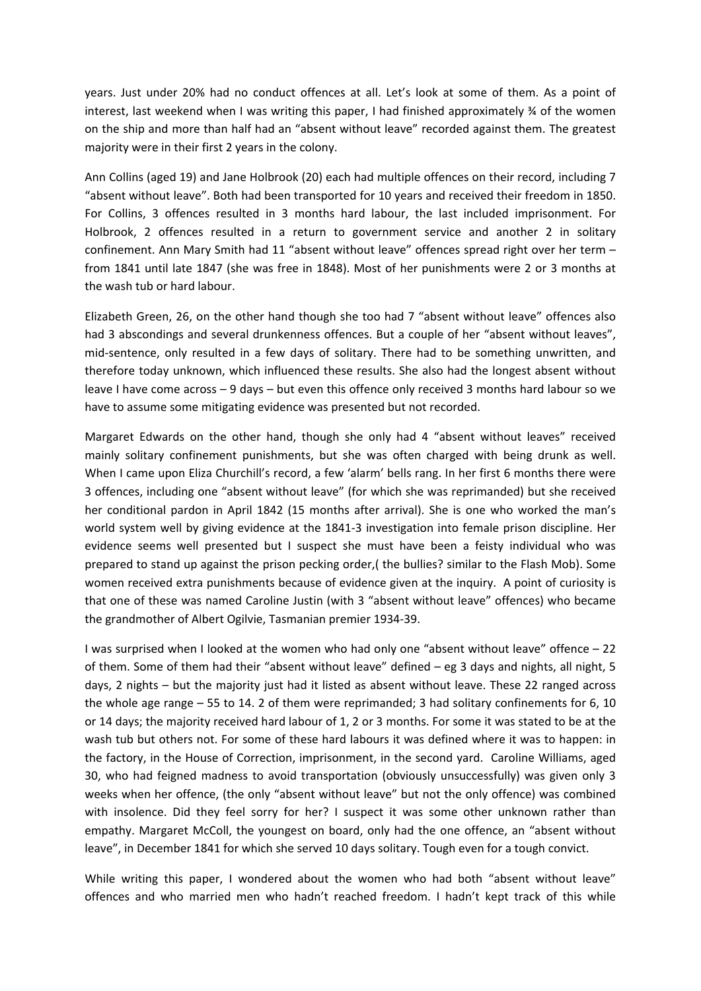years. Just under 20% had no conduct offences at all. Let's look at some of them. As a point of interest, last weekend when I was writing this paper, I had finished approximately  $\frac{3}{4}$  of the women on the ship and more than half had an "absent without leave" recorded against them. The greatest majority were in their first 2 years in the colony.

Ann Collins (aged 19) and Jane Holbrook (20) each had multiple offences on their record, including 7 "absent without leave". Both had been transported for 10 years and received their freedom in 1850. For Collins, 3 offences resulted in 3 months hard labour, the last included imprisonment. For Holbrook, 2 offences resulted in a return to government service and another 2 in solitary confinement. Ann Mary Smith had 11 "absent without leave" offences spread right over her term – from 1841 until late 1847 (she was free in 1848). Most of her punishments were 2 or 3 months at the wash tub or hard labour.

Elizabeth Green, 26, on the other hand though she too had 7 "absent without leave" offences also had 3 abscondings and several drunkenness offences. But a couple of her "absent without leaves", mid‐sentence, only resulted in a few days of solitary. There had to be something unwritten, and therefore today unknown, which influenced these results. She also had the longest absent without leave I have come across – 9 days – but even this offence only received 3 months hard labour so we have to assume some mitigating evidence was presented but not recorded.

Margaret Edwards on the other hand, though she only had 4 "absent without leaves" received mainly solitary confinement punishments, but she was often charged with being drunk as well. When I came upon Eliza Churchill's record, a few 'alarm' bells rang. In her first 6 months there were 3 offences, including one "absent without leave" (for which she was reprimanded) but she received her conditional pardon in April 1842 (15 months after arrival). She is one who worked the man's world system well by giving evidence at the 1841‐3 investigation into female prison discipline. Her evidence seems well presented but I suspect she must have been a feisty individual who was prepared to stand up against the prison pecking order,( the bullies? similar to the Flash Mob). Some women received extra punishments because of evidence given at the inquiry. A point of curiosity is that one of these was named Caroline Justin (with 3 "absent without leave" offences) who became the grandmother of Albert Ogilvie, Tasmanian premier 1934‐39.

I was surprised when I looked at the women who had only one "absent without leave" offence – 22 of them. Some of them had their "absent without leave" defined - eg 3 days and nights, all night, 5 days, 2 nights – but the majority just had it listed as absent without leave. These 22 ranged across the whole age range – 55 to 14. 2 of them were reprimanded; 3 had solitary confinements for 6, 10 or 14 days; the majority received hard labour of 1, 2 or 3 months. For some it was stated to be at the wash tub but others not. For some of these hard labours it was defined where it was to happen: in the factory, in the House of Correction, imprisonment, in the second yard. Caroline Williams, aged 30, who had feigned madness to avoid transportation (obviously unsuccessfully) was given only 3 weeks when her offence, (the only "absent without leave" but not the only offence) was combined with insolence. Did they feel sorry for her? I suspect it was some other unknown rather than empathy. Margaret McColl, the youngest on board, only had the one offence, an "absent without leave", in December 1841 for which she served 10 days solitary. Tough even for a tough convict.

While writing this paper, I wondered about the women who had both "absent without leave" offences and who married men who hadn't reached freedom. I hadn't kept track of this while